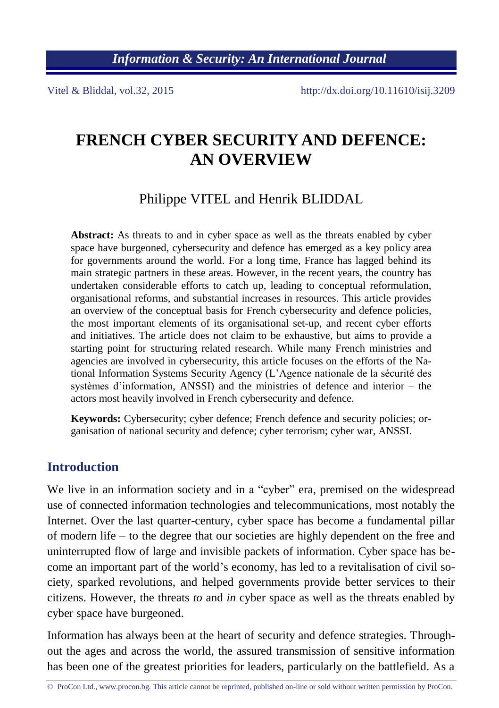*Information & Security: An International Journal*

Vitel & Bliddal, vol.32, 2015 http://dx.doi.org/10.11610/isij.3209

# **FRENCH CYBER SECURITY AND DEFENCE: AN OVERVIEW**

Philippe VITEL and Henrik BLIDDAL

**Abstract:** As threats to and in cyber space as well as the threats enabled by cyber space have burgeoned, cybersecurity and defence has emerged as a key policy area for governments around the world. For a long time, France has lagged behind its main strategic partners in these areas. However, in the recent years, the country has undertaken considerable efforts to catch up, leading to conceptual reformulation, organisational reforms, and substantial increases in resources. This article provides an overview of the conceptual basis for French cybersecurity and defence policies, the most important elements of its organisational set-up, and recent cyber efforts and initiatives. The article does not claim to be exhaustive, but aims to provide a starting point for structuring related research. While many French ministries and agencies are involved in cybersecurity, this article focuses on the efforts of the National Information Systems Security Agency (L'Agence nationale de la sécurité des systèmes d'information, ANSSI) and the ministries of defence and interior – the actors most heavily involved in French cybersecurity and defence.

**Keywords:** Cybersecurity; cyber defence; French defence and security policies; organisation of national security and defence; cyber terrorism; cyber war, ANSSI.

#### **Introduction**

We live in an information society and in a "cyber" era, premised on the widespread use of connected information technologies and telecommunications, most notably the Internet. Over the last quarter-century, cyber space has become a fundamental pillar of modern life – to the degree that our societies are highly dependent on the free and uninterrupted flow of large and invisible packets of information. Cyber space has become an important part of the world's economy, has led to a revitalisation of civil society, sparked revolutions, and helped governments provide better services to their citizens. However, the threats *to* and *in* cyber space as well as the threats enabled by cyber space have burgeoned.

Information has always been at the heart of security and defence strategies. Throughout the ages and across the world, the assured transmission of sensitive information has been one of the greatest priorities for leaders, particularly on the battlefield. As a

<sup>©</sup> ProCon Ltd., www.procon.bg. This article cannot be reprinted, published on-line or sold without written permission by ProCon.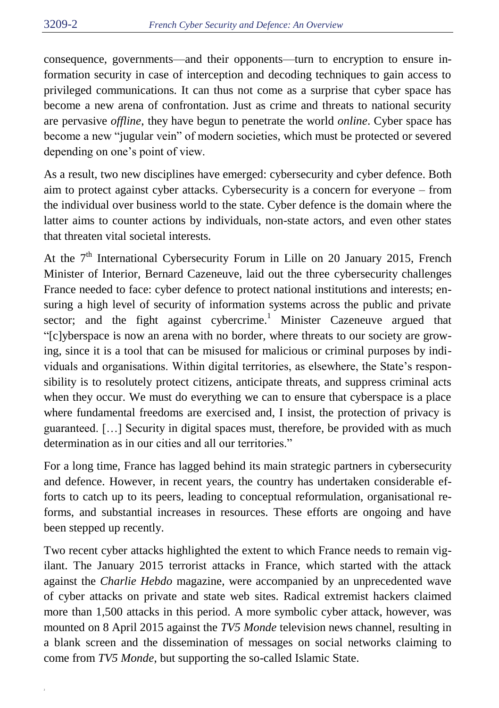consequence, governments—and their opponents—turn to encryption to ensure information security in case of interception and decoding techniques to gain access to privileged communications. It can thus not come as a surprise that cyber space has become a new arena of confrontation. Just as crime and threats to national security are pervasive *offline*, they have begun to penetrate the world *online*. Cyber space has become a new "jugular vein" of modern societies, which must be protected or severed depending on one's point of view.

As a result, two new disciplines have emerged: cybersecurity and cyber defence. Both aim to protect against cyber attacks. Cybersecurity is a concern for everyone – from the individual over business world to the state. Cyber defence is the domain where the latter aims to counter actions by individuals, non-state actors, and even other states that threaten vital societal interests.

At the  $7<sup>th</sup>$  International Cybersecurity Forum in Lille on 20 January 2015, French Minister of Interior, Bernard Cazeneuve, laid out the three cybersecurity challenges France needed to face: cyber defence to protect national institutions and interests; ensuring a high level of security of information systems across the public and private sector; and the fight against cybercrime.<sup>1</sup> Minister Cazeneuve argued that "[c]yberspace is now an arena with no border, where threats to our society are growing, since it is a tool that can be misused for malicious or criminal purposes by individuals and organisations. Within digital territories, as elsewhere, the State's responsibility is to resolutely protect citizens, anticipate threats, and suppress criminal acts when they occur. We must do everything we can to ensure that cyberspace is a place where fundamental freedoms are exercised and, I insist, the protection of privacy is guaranteed. […] Security in digital spaces must, therefore, be provided with as much determination as in our cities and all our territories."

For a long time, France has lagged behind its main strategic partners in cybersecurity and defence. However, in recent years, the country has undertaken considerable efforts to catch up to its peers, leading to conceptual reformulation, organisational reforms, and substantial increases in resources. These efforts are ongoing and have been stepped up recently.

Two recent cyber attacks highlighted the extent to which France needs to remain vigilant. The January 2015 terrorist attacks in France, which started with the attack against the *Charlie Hebdo* magazine, were accompanied by an unprecedented wave of cyber attacks on private and state web sites. Radical extremist hackers claimed more than 1,500 attacks in this period. A more symbolic cyber attack, however, was mounted on 8 April 2015 against the *TV5 Monde* television news channel, resulting in a blank screen and the dissemination of messages on social networks claiming to come from *TV5 Monde*, but supporting the so-called Islamic State.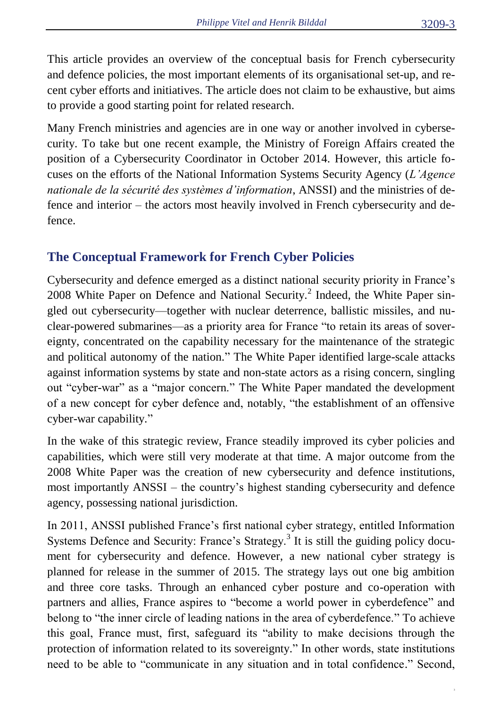This article provides an overview of the conceptual basis for French cybersecurity and defence policies, the most important elements of its organisational set-up, and recent cyber efforts and initiatives. The article does not claim to be exhaustive, but aims to provide a good starting point for related research.

Many French ministries and agencies are in one way or another involved in cybersecurity. To take but one recent example, the Ministry of Foreign Affairs created the position of a Cybersecurity Coordinator in October 2014. However, this article focuses on the efforts of the National Information Systems Security Agency (*L'Agence nationale de la sécurité des systèmes d'information*, ANSSI) and the ministries of defence and interior – the actors most heavily involved in French cybersecurity and defence.

# **The Conceptual Framework for French Cyber Policies**

Cybersecurity and defence emerged as a distinct national security priority in France's 2008 White Paper on Defence and National Security.<sup>2</sup> Indeed, the White Paper singled out cybersecurity—together with nuclear deterrence, ballistic missiles, and nuclear-powered submarines—as a priority area for France "to retain its areas of sovereignty, concentrated on the capability necessary for the maintenance of the strategic and political autonomy of the nation." The White Paper identified large-scale attacks against information systems by state and non-state actors as a rising concern, singling out "cyber-war" as a "major concern." The White Paper mandated the development of a new concept for cyber defence and, notably, "the establishment of an offensive cyber-war capability."

In the wake of this strategic review, France steadily improved its cyber policies and capabilities, which were still very moderate at that time. A major outcome from the 2008 White Paper was the creation of new cybersecurity and defence institutions, most importantly ANSSI – the country's highest standing cybersecurity and defence agency, possessing national jurisdiction.

In 2011, ANSSI published France's first national cyber strategy, entitled Information Systems Defence and Security: France's Strategy.<sup>3</sup> It is still the guiding policy document for cybersecurity and defence. However, a new national cyber strategy is planned for release in the summer of 2015. The strategy lays out one big ambition and three core tasks. Through an enhanced cyber posture and co-operation with partners and allies, France aspires to "become a world power in cyberdefence" and belong to "the inner circle of leading nations in the area of cyberdefence." To achieve this goal, France must, first, safeguard its "ability to make decisions through the protection of information related to its sovereignty." In other words, state institutions need to be able to "communicate in any situation and in total confidence." Second,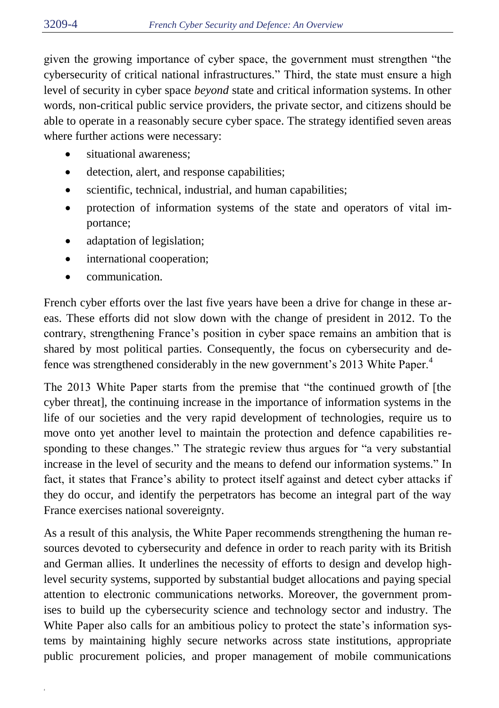given the growing importance of cyber space, the government must strengthen "the cybersecurity of critical national infrastructures." Third, the state must ensure a high level of security in cyber space *beyond* state and critical information systems. In other words, non-critical public service providers, the private sector, and citizens should be able to operate in a reasonably secure cyber space. The strategy identified seven areas where further actions were necessary:

- situational awareness;
- detection, alert, and response capabilities;
- scientific, technical, industrial, and human capabilities;
- protection of information systems of the state and operators of vital importance;
- adaptation of legislation;
- international cooperation;
- communication.

French cyber efforts over the last five years have been a drive for change in these areas. These efforts did not slow down with the change of president in 2012. To the contrary, strengthening France's position in cyber space remains an ambition that is shared by most political parties. Consequently, the focus on cybersecurity and defence was strengthened considerably in the new government's 2013 White Paper.<sup>4</sup>

The 2013 White Paper starts from the premise that "the continued growth of [the cyber threat], the continuing increase in the importance of information systems in the life of our societies and the very rapid development of technologies, require us to move onto yet another level to maintain the protection and defence capabilities responding to these changes." The strategic review thus argues for "a very substantial increase in the level of security and the means to defend our information systems." In fact, it states that France's ability to protect itself against and detect cyber attacks if they do occur, and identify the perpetrators has become an integral part of the way France exercises national sovereignty.

As a result of this analysis, the White Paper recommends strengthening the human resources devoted to cybersecurity and defence in order to reach parity with its British and German allies. It underlines the necessity of efforts to design and develop highlevel security systems, supported by substantial budget allocations and paying special attention to electronic communications networks. Moreover, the government promises to build up the cybersecurity science and technology sector and industry. The White Paper also calls for an ambitious policy to protect the state's information systems by maintaining highly secure networks across state institutions, appropriate public procurement policies, and proper management of mobile communications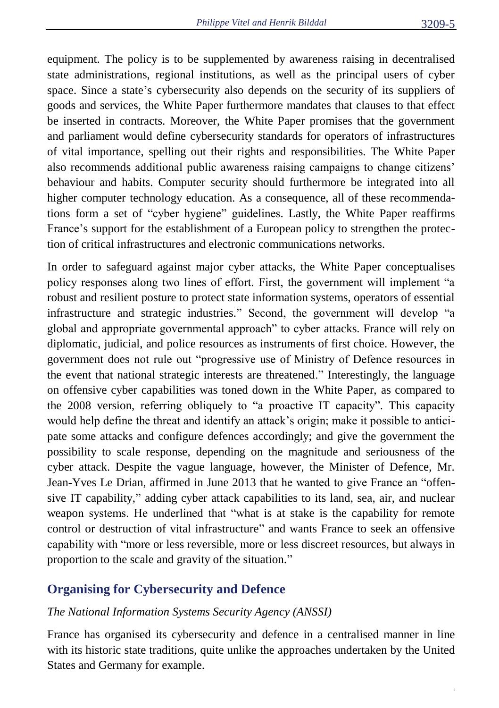equipment. The policy is to be supplemented by awareness raising in decentralised state administrations, regional institutions, as well as the principal users of cyber space. Since a state's cybersecurity also depends on the security of its suppliers of goods and services, the White Paper furthermore mandates that clauses to that effect be inserted in contracts. Moreover, the White Paper promises that the government and parliament would define cybersecurity standards for operators of infrastructures of vital importance, spelling out their rights and responsibilities. The White Paper also recommends additional public awareness raising campaigns to change citizens' behaviour and habits. Computer security should furthermore be integrated into all higher computer technology education. As a consequence, all of these recommendations form a set of "cyber hygiene" guidelines. Lastly, the White Paper reaffirms France's support for the establishment of a European policy to strengthen the protection of critical infrastructures and electronic communications networks.

In order to safeguard against major cyber attacks, the White Paper conceptualises policy responses along two lines of effort. First, the government will implement "a robust and resilient posture to protect state information systems, operators of essential infrastructure and strategic industries." Second, the government will develop "a global and appropriate governmental approach" to cyber attacks. France will rely on diplomatic, judicial, and police resources as instruments of first choice. However, the government does not rule out "progressive use of Ministry of Defence resources in the event that national strategic interests are threatened." Interestingly, the language on offensive cyber capabilities was toned down in the White Paper, as compared to the 2008 version, referring obliquely to "a proactive IT capacity". This capacity would help define the threat and identify an attack's origin; make it possible to anticipate some attacks and configure defences accordingly; and give the government the possibility to scale response, depending on the magnitude and seriousness of the cyber attack. Despite the vague language, however, the Minister of Defence, Mr. Jean-Yves Le Drian, affirmed in June 2013 that he wanted to give France an "offensive IT capability," adding cyber attack capabilities to its land, sea, air, and nuclear weapon systems. He underlined that "what is at stake is the capability for remote control or destruction of vital infrastructure" and wants France to seek an offensive capability with "more or less reversible, more or less discreet resources, but always in proportion to the scale and gravity of the situation."

### **Organising for Cybersecurity and Defence**

#### *The National Information Systems Security Agency (ANSSI)*

France has organised its cybersecurity and defence in a centralised manner in line with its historic state traditions, quite unlike the approaches undertaken by the United States and Germany for example.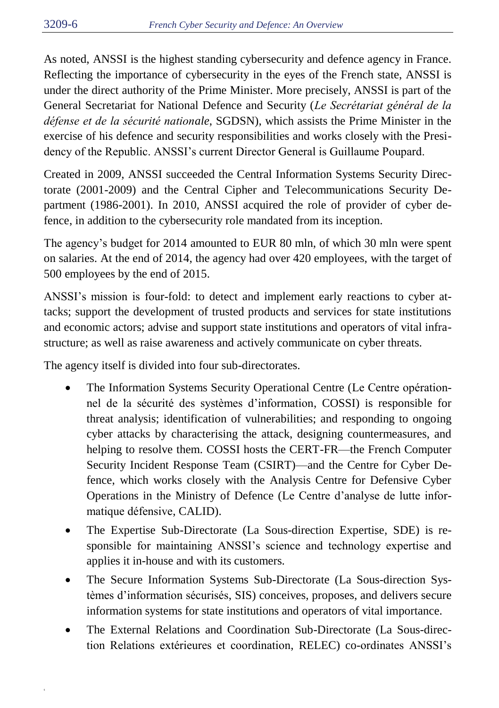As noted, ANSSI is the highest standing cybersecurity and defence agency in France. Reflecting the importance of cybersecurity in the eyes of the French state, ANSSI is under the direct authority of the Prime Minister. More precisely, ANSSI is part of the General Secretariat for National Defence and Security (*Le Secrétariat général de la défense et de la sécurité nationale*, SGDSN), which assists the Prime Minister in the exercise of his defence and security responsibilities and works closely with the Presidency of the Republic. ANSSI's current Director General is Guillaume Poupard.

Created in 2009, ANSSI succeeded the Central Information Systems Security Directorate (2001-2009) and the Central Cipher and Telecommunications Security Department (1986-2001). In 2010, ANSSI acquired the role of provider of cyber defence, in addition to the cybersecurity role mandated from its inception.

The agency's budget for 2014 amounted to EUR 80 mln, of which 30 mln were spent on salaries. At the end of 2014, the agency had over 420 employees, with the target of 500 employees by the end of 2015.

ANSSI's mission is four-fold: to detect and implement early reactions to cyber attacks; support the development of trusted products and services for state institutions and economic actors; advise and support state institutions and operators of vital infrastructure; as well as raise awareness and actively communicate on cyber threats.

The agency itself is divided into four sub-directorates.

- The Information Systems Security Operational Centre (Le Centre opérationnel de la sécurité des systèmes d'information, COSSI) is responsible for threat analysis; identification of vulnerabilities; and responding to ongoing cyber attacks by characterising the attack, designing countermeasures, and helping to resolve them. COSSI hosts the CERT-FR—the French Computer Security Incident Response Team (CSIRT)—and the Centre for Cyber Defence, which works closely with the Analysis Centre for Defensive Cyber Operations in the Ministry of Defence (Le Centre d'analyse de lutte informatique défensive, CALID).
- The Expertise Sub-Directorate (La Sous-direction Expertise, SDE) is responsible for maintaining ANSSI's science and technology expertise and applies it in-house and with its customers.
- The Secure Information Systems Sub-Directorate (La Sous-direction Systèmes d'information sécurisés, SIS) conceives, proposes, and delivers secure information systems for state institutions and operators of vital importance.
- The External Relations and Coordination Sub-Directorate (La Sous-direction Relations extérieures et coordination, RELEC) co-ordinates ANSSI's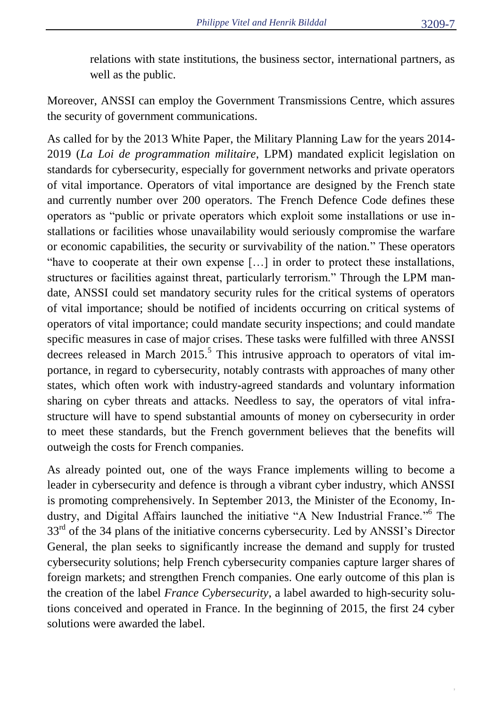relations with state institutions, the business sector, international partners, as well as the public.

Moreover, ANSSI can employ the Government Transmissions Centre, which assures the security of government communications.

As called for by the 2013 White Paper, the Military Planning Law for the years 2014- 2019 (*La Loi de programmation militaire*, LPM) mandated explicit legislation on standards for cybersecurity, especially for government networks and private operators of vital importance. Operators of vital importance are designed by the French state and currently number over 200 operators. The French Defence Code defines these operators as "public or private operators which exploit some installations or use installations or facilities whose unavailability would seriously compromise the warfare or economic capabilities, the security or survivability of the nation." These operators "have to cooperate at their own expense […] in order to protect these installations, structures or facilities against threat, particularly terrorism." Through the LPM mandate, ANSSI could set mandatory security rules for the critical systems of operators of vital importance; should be notified of incidents occurring on critical systems of operators of vital importance; could mandate security inspections; and could mandate specific measures in case of major crises. These tasks were fulfilled with three ANSSI decrees released in March  $2015$ <sup>5</sup>. This intrusive approach to operators of vital importance, in regard to cybersecurity, notably contrasts with approaches of many other states, which often work with industry-agreed standards and voluntary information sharing on cyber threats and attacks. Needless to say, the operators of vital infrastructure will have to spend substantial amounts of money on cybersecurity in order to meet these standards, but the French government believes that the benefits will outweigh the costs for French companies.

As already pointed out, one of the ways France implements willing to become a leader in cybersecurity and defence is through a vibrant cyber industry, which ANSSI is promoting comprehensively. In September 2013, the Minister of the Economy, Industry, and Digital Affairs launched the initiative "A New Industrial France." <sup>6</sup> The 33<sup>rd</sup> of the 34 plans of the initiative concerns cybersecurity. Led by ANSSI's Director General, the plan seeks to significantly increase the demand and supply for trusted cybersecurity solutions; help French cybersecurity companies capture larger shares of foreign markets; and strengthen French companies. One early outcome of this plan is the creation of the label *France Cybersecurity*, a label awarded to high-security solutions conceived and operated in France. In the beginning of 2015, the first 24 cyber solutions were awarded the label.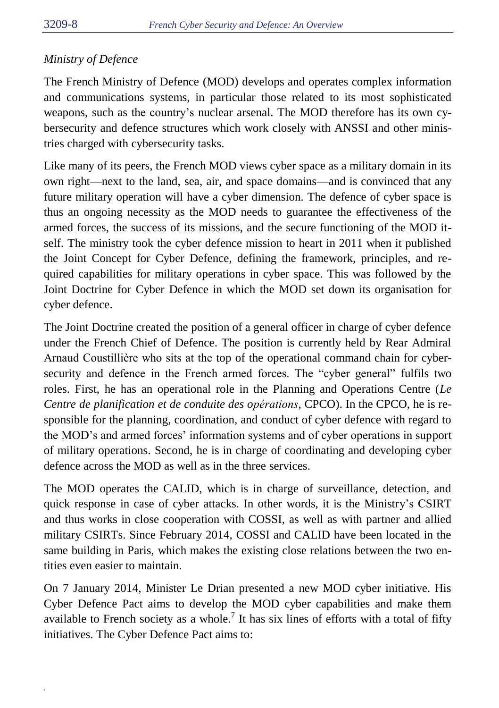### *Ministry of Defence*

The French Ministry of Defence (MOD) develops and operates complex information and communications systems, in particular those related to its most sophisticated weapons, such as the country's nuclear arsenal. The MOD therefore has its own cybersecurity and defence structures which work closely with ANSSI and other ministries charged with cybersecurity tasks.

Like many of its peers, the French MOD views cyber space as a military domain in its own right—next to the land, sea, air, and space domains—and is convinced that any future military operation will have a cyber dimension. The defence of cyber space is thus an ongoing necessity as the MOD needs to guarantee the effectiveness of the armed forces, the success of its missions, and the secure functioning of the MOD itself. The ministry took the cyber defence mission to heart in 2011 when it published the Joint Concept for Cyber Defence, defining the framework, principles, and required capabilities for military operations in cyber space. This was followed by the Joint Doctrine for Cyber Defence in which the MOD set down its organisation for cyber defence.

The Joint Doctrine created the position of a general officer in charge of cyber defence under the French Chief of Defence. The position is currently held by Rear Admiral Arnaud Coustillière who sits at the top of the operational command chain for cybersecurity and defence in the French armed forces. The "cyber general" fulfils two roles. First, he has an operational role in the Planning and Operations Centre (*Le Centre de planification et de conduite des opérations*, CPCO). In the CPCO, he is responsible for the planning, coordination, and conduct of cyber defence with regard to the MOD's and armed forces' information systems and of cyber operations in support of military operations. Second, he is in charge of coordinating and developing cyber defence across the MOD as well as in the three services.

The MOD operates the CALID, which is in charge of surveillance, detection, and quick response in case of cyber attacks. In other words, it is the Ministry's CSIRT and thus works in close cooperation with COSSI, as well as with partner and allied military CSIRTs. Since February 2014, COSSI and CALID have been located in the same building in Paris, which makes the existing close relations between the two entities even easier to maintain.

On 7 January 2014, Minister Le Drian presented a new MOD cyber initiative. His Cyber Defence Pact aims to develop the MOD cyber capabilities and make them available to French society as a whole.<sup>7</sup> It has six lines of efforts with a total of fifty initiatives. The Cyber Defence Pact aims to: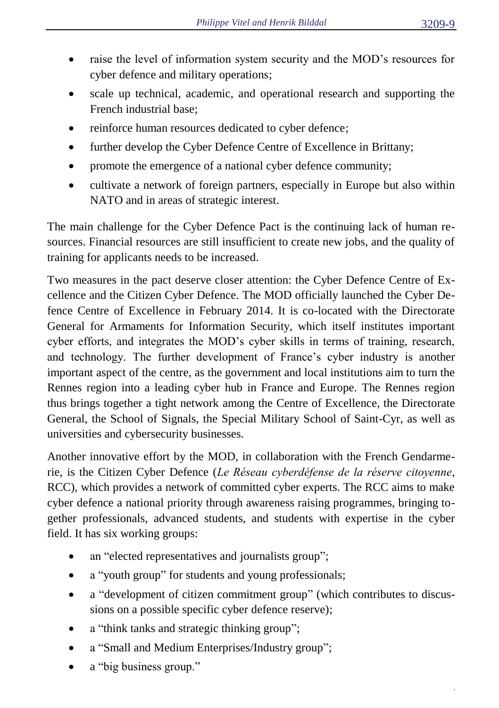- raise the level of information system security and the MOD's resources for cyber defence and military operations;
- scale up technical, academic, and operational research and supporting the French industrial base;
- reinforce human resources dedicated to cyber defence;
- further develop the Cyber Defence Centre of Excellence in Brittany;
- promote the emergence of a national cyber defence community;
- cultivate a network of foreign partners, especially in Europe but also within NATO and in areas of strategic interest.

The main challenge for the Cyber Defence Pact is the continuing lack of human resources. Financial resources are still insufficient to create new jobs, and the quality of training for applicants needs to be increased.

Two measures in the pact deserve closer attention: the Cyber Defence Centre of Excellence and the Citizen Cyber Defence. The MOD officially launched the Cyber Defence Centre of Excellence in February 2014. It is co-located with the Directorate General for Armaments for Information Security, which itself institutes important cyber efforts, and integrates the MOD's cyber skills in terms of training, research, and technology. The further development of France's cyber industry is another important aspect of the centre, as the government and local institutions aim to turn the Rennes region into a leading cyber hub in France and Europe. The Rennes region thus brings together a tight network among the Centre of Excellence, the Directorate General, the School of Signals, the Special Military School of Saint-Cyr, as well as universities and cybersecurity businesses.

Another innovative effort by the MOD, in collaboration with the French Gendarmerie, is the Citizen Cyber Defence (*Le Réseau cyberdéfense de la réserve citoyenne*, RCC), which provides a network of committed cyber experts. The RCC aims to make cyber defence a national priority through awareness raising programmes, bringing together professionals, advanced students, and students with expertise in the cyber field. It has six working groups:

- an "elected representatives and journalists group";
- a "youth group" for students and young professionals;
- a "development of citizen commitment group" (which contributes to discussions on a possible specific cyber defence reserve);
- a "think tanks and strategic thinking group";
- a "Small and Medium Enterprises/Industry group";
- a "big business group."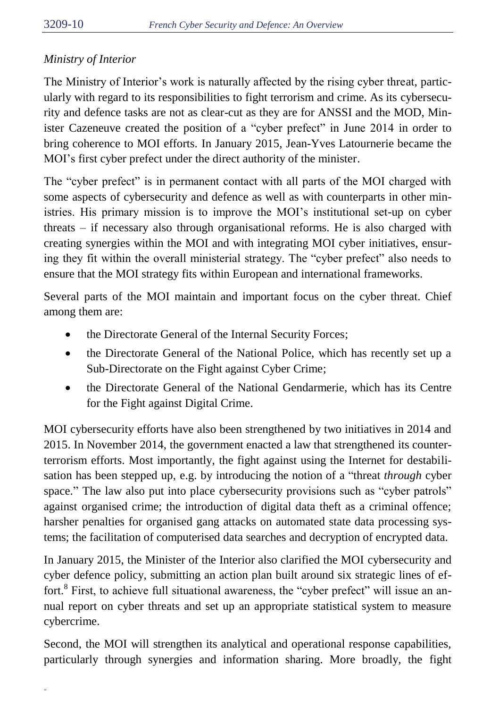# *Ministry of Interior*

The Ministry of Interior's work is naturally affected by the rising cyber threat, particularly with regard to its responsibilities to fight terrorism and crime. As its cybersecurity and defence tasks are not as clear-cut as they are for ANSSI and the MOD, Minister Cazeneuve created the position of a "cyber prefect" in June 2014 in order to bring coherence to MOI efforts. In January 2015, Jean-Yves Latournerie became the MOI's first cyber prefect under the direct authority of the minister.

The "cyber prefect" is in permanent contact with all parts of the MOI charged with some aspects of cybersecurity and defence as well as with counterparts in other ministries. His primary mission is to improve the MOI's institutional set-up on cyber threats – if necessary also through organisational reforms. He is also charged with creating synergies within the MOI and with integrating MOI cyber initiatives, ensuring they fit within the overall ministerial strategy. The "cyber prefect" also needs to ensure that the MOI strategy fits within European and international frameworks.

Several parts of the MOI maintain and important focus on the cyber threat. Chief among them are:

- the Directorate General of the Internal Security Forces;
- the Directorate General of the National Police, which has recently set up a Sub-Directorate on the Fight against Cyber Crime;
- the Directorate General of the National Gendarmerie, which has its Centre for the Fight against Digital Crime.

MOI cybersecurity efforts have also been strengthened by two initiatives in 2014 and 2015. In November 2014, the government enacted a law that strengthened its counterterrorism efforts. Most importantly, the fight against using the Internet for destabilisation has been stepped up, e.g. by introducing the notion of a "threat *through* cyber space." The law also put into place cybersecurity provisions such as "cyber patrols" against organised crime; the introduction of digital data theft as a criminal offence; harsher penalties for organised gang attacks on automated state data processing systems; the facilitation of computerised data searches and decryption of encrypted data.

In January 2015, the Minister of the Interior also clarified the MOI cybersecurity and cyber defence policy, submitting an action plan built around six strategic lines of effort.<sup>8</sup> First, to achieve full situational awareness, the "cyber prefect" will issue an annual report on cyber threats and set up an appropriate statistical system to measure cybercrime.

Second, the MOI will strengthen its analytical and operational response capabilities, particularly through synergies and information sharing. More broadly, the fight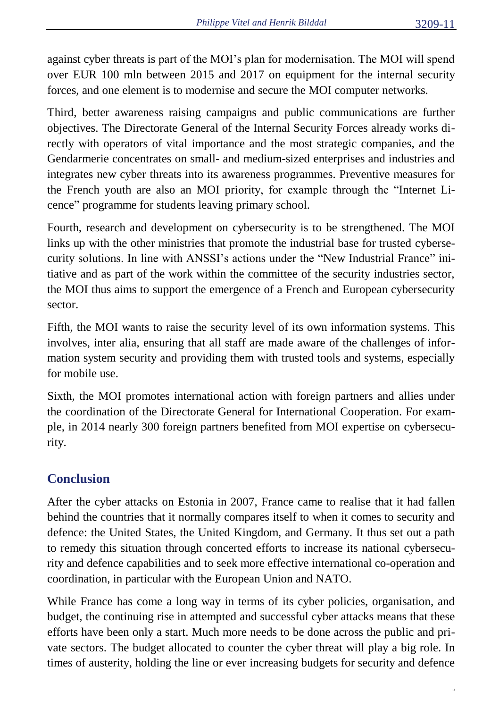against cyber threats is part of the MOI's plan for modernisation. The MOI will spend over EUR 100 mln between 2015 and 2017 on equipment for the internal security forces, and one element is to modernise and secure the MOI computer networks.

Third, better awareness raising campaigns and public communications are further objectives. The Directorate General of the Internal Security Forces already works directly with operators of vital importance and the most strategic companies, and the Gendarmerie concentrates on small- and medium-sized enterprises and industries and integrates new cyber threats into its awareness programmes. Preventive measures for the French youth are also an MOI priority, for example through the "Internet Licence" programme for students leaving primary school.

Fourth, research and development on cybersecurity is to be strengthened. The MOI links up with the other ministries that promote the industrial base for trusted cybersecurity solutions. In line with ANSSI's actions under the "New Industrial France" initiative and as part of the work within the committee of the security industries sector, the MOI thus aims to support the emergence of a French and European cybersecurity sector.

Fifth, the MOI wants to raise the security level of its own information systems. This involves, inter alia, ensuring that all staff are made aware of the challenges of information system security and providing them with trusted tools and systems, especially for mobile use.

Sixth, the MOI promotes international action with foreign partners and allies under the coordination of the Directorate General for International Cooperation. For example, in 2014 nearly 300 foreign partners benefited from MOI expertise on cybersecurity.

# **Conclusion**

After the cyber attacks on Estonia in 2007, France came to realise that it had fallen behind the countries that it normally compares itself to when it comes to security and defence: the United States, the United Kingdom, and Germany. It thus set out a path to remedy this situation through concerted efforts to increase its national cybersecurity and defence capabilities and to seek more effective international co-operation and coordination, in particular with the European Union and NATO.

While France has come a long way in terms of its cyber policies, organisation, and budget, the continuing rise in attempted and successful cyber attacks means that these efforts have been only a start. Much more needs to be done across the public and private sectors. The budget allocated to counter the cyber threat will play a big role. In times of austerity, holding the line or ever increasing budgets for security and defence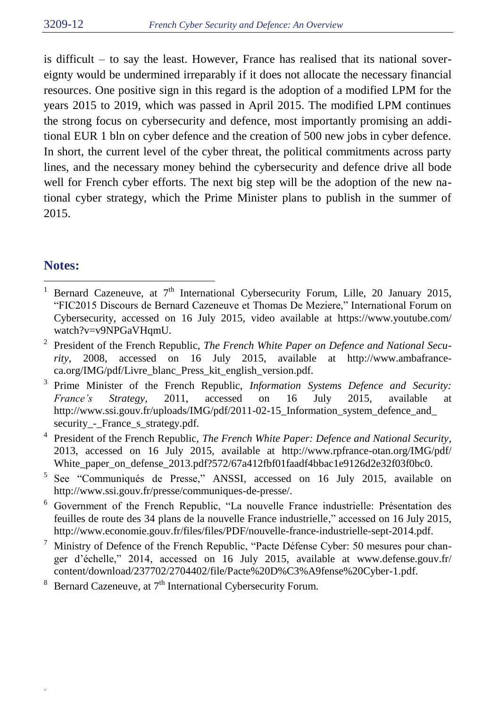is difficult – to say the least. However, France has realised that its national sovereignty would be undermined irreparably if it does not allocate the necessary financial resources. One positive sign in this regard is the adoption of a modified LPM for the years 2015 to 2019, which was passed in April 2015. The modified LPM continues the strong focus on cybersecurity and defence, most importantly promising an additional EUR 1 bln on cyber defence and the creation of 500 new jobs in cyber defence. In short, the current level of the cyber threat, the political commitments across party lines, and the necessary money behind the cybersecurity and defence drive all bode well for French cyber efforts. The next big step will be the adoption of the new national cyber strategy, which the Prime Minister plans to publish in the summer of 2015.

## **Notes:**

- $\overline{a}$ <sup>1</sup> Bernard Cazeneuve, at  $7<sup>th</sup>$  International Cybersecurity Forum, Lille, 20 January 2015, "FIC2015 Discours de Bernard Cazeneuve et Thomas De Meziere," International Forum on Cybersecurity, accessed on 16 July 2015, video available at https://www.youtube.com/ watch?v=v9NPGaVHqmU.
- 2 President of the French Republic, *The French White Paper on Defence and National Security*, 2008, accessed on 16 July 2015, available at http://www.ambafranceca.org/IMG/pdf/Livre\_blanc\_Press\_kit\_english\_version.pdf.
- 3 Prime Minister of the French Republic, *Information Systems Defence and Security: France's Strategy*, 2011, accessed on 16 July 2015, available at http://www.ssi.gouv.fr/uploads/IMG/pdf/2011-02-15\_Information\_system\_defence\_and\_ security\_-\_France\_s\_strategy.pdf.
- 4 President of the French Republic, *The French White Paper: Defence and National Security*, 2013, accessed on 16 July 2015, available at http://www.rpfrance-otan.org/IMG/pdf/ White\_paper\_on\_defense\_2013.pdf?572/67a412fbf01faadf4bbac1e9126d2e32f03f0bc0.
- 5 See "Communiqués de Presse," ANSSI, accessed on 16 July 2015, available on http://www.ssi.gouv.fr/presse/communiques-de-presse/.
- <sup>6</sup> Government of the French Republic, "La nouvelle France industrielle: Présentation des feuilles de route des 34 plans de la nouvelle France industrielle," accessed on 16 July 2015, http://www.economie.gouv.fr/files/files/PDF/nouvelle-france-industrielle-sept-2014.pdf.
- <sup>7</sup> Ministry of Defence of the French Republic, "Pacte Défense Cyber: 50 mesures pour changer d'échelle," 2014, accessed on 16 July 2015, available at www.defense.gouv.fr/ content/download/237702/2704402/file/Pacte%20D%C3%A9fense%20Cyber-1.pdf.
- <sup>8</sup> Bernard Cazeneuve, at  $7<sup>th</sup>$  International Cybersecurity Forum.